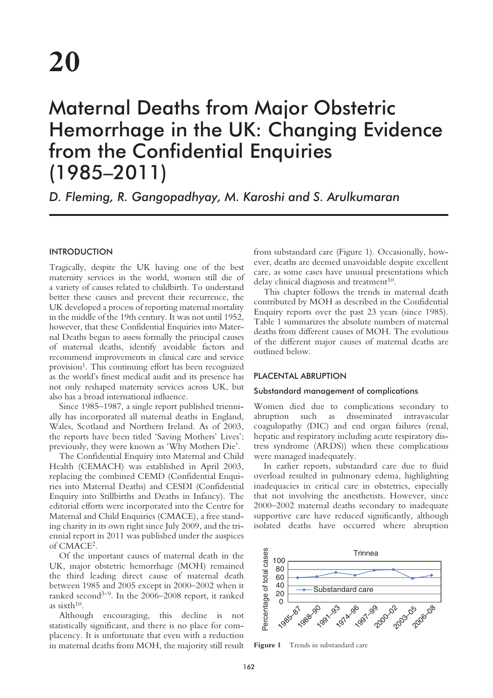# Maternal Deaths from Major Obstetric Hemorrhage in the UK: Changing Evidence from the Confidential Enquiries (1985–2011)

*D. Fleming, R. Gangopadhyay, M. Karoshi and S. Arulkumaran*

# **INTRODUCTION**

Tragically, despite the UK having one of the best maternity services in the world, women still die of a variety of causes related to childbirth. To understand better these causes and prevent their recurrence, the UK developed a process of reporting maternal mortality in the middle of the 19th century. It was not until 1952, however, that these Confidential Enquiries into Maternal Deaths began to assess formally the principal causes of maternal deaths, identify avoidable factors and recommend improvements in clinical care and service provision<sup>1</sup>. This continuing effort has been recognized as the world's finest medical audit and its presence has not only reshaped maternity services across UK, but also has a broad international influence.

Since 1985–1987, a single report published triennially has incorporated all maternal deaths in England, Wales, Scotland and Northern Ireland. As of 2003, the reports have been titled 'Saving Mothers' Lives'; previously, they were known as 'Why Mothers Die'.

The Confidential Enquiry into Maternal and Child Health (CEMACH) was established in April 2003, replacing the combined CEMD (Confidential Enquiries into Maternal Deaths) and CESDI (Confidential Enquiry into Stillbirths and Deaths in Infancy). The editorial efforts were incorporated into the Centre for Maternal and Child Enquiries (CMACE), a free standing charity in its own right since July 2009, and the triennial report in 2011 was published under the auspices of CMACE2.

Of the important causes of maternal death in the UK, major obstetric hemorrhage (MOH) remained the third leading direct cause of maternal death between 1985 and 2005 except in 2000–2002 when it ranked second<sup>3–9</sup>. In the 2006–2008 report, it ranked as sixth $10$ .

Although encouraging, this decline is not statistically significant, and there is no place for complacency. It is unfortunate that even with a reduction in maternal deaths from MOH, the majority still result from substandard care (Figure 1). Occasionally, however, deaths are deemed unavoidable despite excellent care, as some cases have unusual presentations which delay clinical diagnosis and treatment $10$ .

This chapter follows the trends in maternal death contributed by MOH as described in the Confidential Enquiry reports over the past 23 years (since 1985). Table 1 summarizes the absolute numbers of maternal deaths from different causes of MOH. The evolutions of the different major causes of maternal deaths are outlined below.

## PLACENTAL ABRUPTION

#### Substandard management of complications

Women died due to complications secondary to abruption such as disseminated intravascular coagulopathy (DIC) and end organ failures (renal, hepatic and respiratory including acute respiratory distress syndrome (ARDS)) when these complications were managed inadequately.

In earlier reports, substandard care due to fluid overload resulted in pulmonary edema, highlighting inadequacies in critical care in obstetrics, especially that not involving the anesthetists. However, since 2000–2002 maternal deaths secondary to inadequate supportive care have reduced significantly, although isolated deaths have occurred where abruption



Figure 1 Trends in substandard care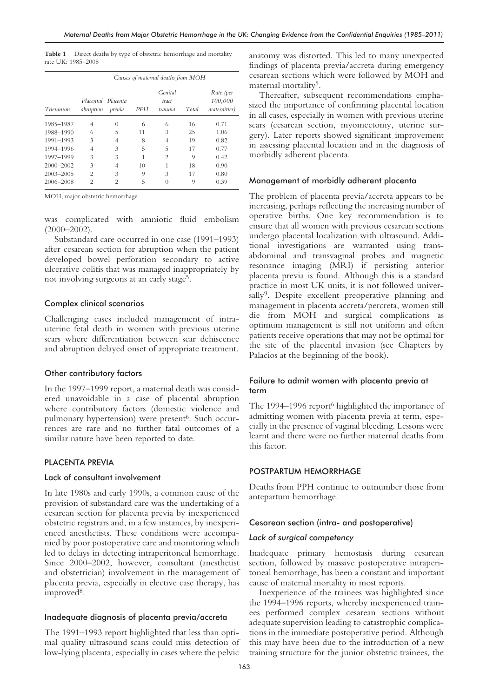Table 1 Direct deaths by type of obstetric hemorrhage and mortality rate UK: 1985–2008

| Triennium     | Causes of maternal deaths from MOH |                  |            |                            |       |                                      |  |
|---------------|------------------------------------|------------------|------------|----------------------------|-------|--------------------------------------|--|
|               | Placental Placenta<br>abruption    | previa           | <b>PPH</b> | Genital<br>tract<br>trauma | Total | Rate (per<br>100,000<br>maternities) |  |
| 1985-1987     | 4                                  | $\left( \right)$ | 6          | 6                          | 16    | 0.71                                 |  |
| 1988-1990     | 6                                  | 5                | 11         | 3                          | 25    | 1.06                                 |  |
| 1991-1993     | 3                                  | 4                | 8          | 4                          | 19    | 0.82                                 |  |
| 1994-1996     | $\overline{4}$                     | 3                | 5          | 5                          | 17    | 0.77                                 |  |
| 1997-1999     | 3                                  | 3                | 1          | $\mathfrak{D}$             | 9     | 0.42                                 |  |
| $2000 - 2002$ | 3                                  | 4                | 10         |                            | 18    | 0.90                                 |  |
| $2003 - 2005$ | $\overline{c}$                     | 3                | 9          | 3                          | 17    | 0.80                                 |  |
| 2006-2008     | $\mathfrak{D}$                     | $\mathfrak{D}$   | 5          | 0                          | 9     | 0.39                                 |  |

MOH, major obstetric hemorrhage

was complicated with amniotic fluid embolism  $(2000-2002)$ .

Substandard care occurred in one case (1991–1993) after cesarean section for abruption when the patient developed bowel perforation secondary to active ulcerative colitis that was managed inappropriately by not involving surgeons at an early stage5.

## Complex clinical scenarios

Challenging cases included management of intrauterine fetal death in women with previous uterine scars where differentiation between scar dehiscence and abruption delayed onset of appropriate treatment.

## Other contributory factors

In the 1997–1999 report, a maternal death was considered unavoidable in a case of placental abruption where contributory factors (domestic violence and pulmonary hypertension) were present<sup>6</sup>. Such occurrences are rare and no further fatal outcomes of a similar nature have been reported to date.

# PLACENTA PREVIA

## Lack of consultant involvement

In late 1980s and early 1990s, a common cause of the provision of substandard care was the undertaking of a cesarean section for placenta previa by inexperienced obstetric registrars and, in a few instances, by inexperienced anesthetists. These conditions were accompanied by poor postoperative care and monitoring which led to delays in detecting intraperitoneal hemorrhage. Since 2000–2002, however, consultant (anesthetist and obstetrician) involvement in the management of placenta previa, especially in elective case therapy, has improved<sup>8</sup>.

## Inadequate diagnosis of placenta previa/accreta

The 1991–1993 report highlighted that less than optimal quality ultrasound scans could miss detection of low-lying placenta, especially in cases where the pelvic

anatomy was distorted. This led to many unexpected findings of placenta previa/accreta during emergency cesarean sections which were followed by MOH and maternal mortality<sup>5</sup>.

Thereafter, subsequent recommendations emphasized the importance of confirming placental location in all cases, especially in women with previous uterine scars (cesarean section, myomectomy, uterine surgery). Later reports showed significant improvement in assessing placental location and in the diagnosis of morbidly adherent placenta.

#### Management of morbidly adherent placenta

The problem of placenta previa/accreta appears to be increasing, perhaps reflecting the increasing number of operative births. One key recommendation is to ensure that all women with previous cesarean sections undergo placental localization with ultrasound. Additional investigations are warranted using transabdominal and transvaginal probes and magnetic resonance imaging (MRI) if persisting anterior placenta previa is found. Although this is a standard practice in most UK units, it is not followed universally<sup>9</sup>. Despite excellent preoperative planning and management in placenta accreta/percreta, women still die from MOH and surgical complications as optimum management is still not uniform and often patients receive operations that may not be optimal for the site of the placental invasion (see Chapters by Palacios at the beginning of the book).

## Failure to admit women with placenta previa at term

The 1994–1996 report<sup>6</sup> highlighted the importance of admitting women with placenta previa at term, especially in the presence of vaginal bleeding. Lessons were learnt and there were no further maternal deaths from this factor.

## POSTPARTUM HEMORRHAGE

Deaths from PPH continue to outnumber those from antepartum hemorrhage.

#### Cesarean section (intra- and postoperative)

#### *Lack of surgical competency*

Inadequate primary hemostasis during cesarean section, followed by massive postoperative intraperitoneal hemorrhage, has been a constant and important cause of maternal mortality in most reports.

Inexperience of the trainees was highlighted since the 1994–1996 reports, whereby inexperienced trainees performed complex cesarean sections without adequate supervision leading to catastrophic complications in the immediate postoperative period. Although this may have been due to the introduction of a new training structure for the junior obstetric trainees, the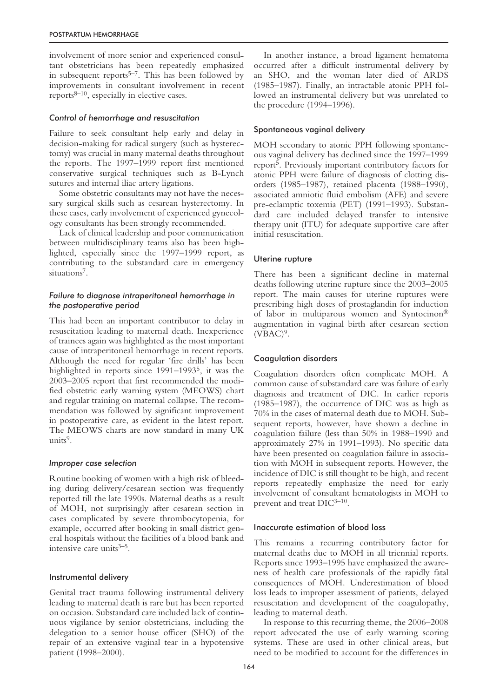involvement of more senior and experienced consultant obstetricians has been repeatedly emphasized in subsequent reports $5-7$ . This has been followed by improvements in consultant involvement in recent reports $8-10$ , especially in elective cases.

## *Control of hemorrhage and resuscitation*

Failure to seek consultant help early and delay in decision-making for radical surgery (such as hysterectomy) was crucial in many maternal deaths throughout the reports. The 1997–1999 report first mentioned conservative surgical techniques such as B-Lynch sutures and internal iliac artery ligations.

Some obstetric consultants may not have the necessary surgical skills such as cesarean hysterectomy. In these cases, early involvement of experienced gynecology consultants has been strongly recommended.

Lack of clinical leadership and poor communication between multidisciplinary teams also has been highlighted, especially since the 1997–1999 report, as contributing to the substandard care in emergency situations7.

# *Failure to diagnose intraperitoneal hemorrhage in the postoperative period*

This had been an important contributor to delay in resuscitation leading to maternal death. Inexperience of trainees again was highlighted as the most important cause of intraperitoneal hemorrhage in recent reports. Although the need for regular 'fire drills' has been highlighted in reports since 1991–19935, it was the 2003–2005 report that first recommended the modified obstetric early warning system (MEOWS) chart and regular training on maternal collapse. The recommendation was followed by significant improvement in postoperative care, as evident in the latest report. The MEOWS charts are now standard in many UK units $9$ .

## *Improper case selection*

Routine booking of women with a high risk of bleeding during delivery/cesarean section was frequently reported till the late 1990s. Maternal deaths as a result of MOH, not surprisingly after cesarean section in cases complicated by severe thrombocytopenia, for example, occurred after booking in small district general hospitals without the facilities of a blood bank and intensive care units $3-5$ .

## Instrumental delivery

Genital tract trauma following instrumental delivery leading to maternal death is rare but has been reported on occasion. Substandard care included lack of continuous vigilance by senior obstetricians, including the delegation to a senior house officer (SHO) of the repair of an extensive vaginal tear in a hypotensive patient (1998–2000).

In another instance, a broad ligament hematoma occurred after a difficult instrumental delivery by an SHO, and the woman later died of ARDS (1985–1987). Finally, an intractable atonic PPH followed an instrumental delivery but was unrelated to the procedure (1994–1996).

#### Spontaneous vaginal delivery

MOH secondary to atonic PPH following spontaneous vaginal delivery has declined since the 1997–1999 report5. Previously important contributory factors for atonic PPH were failure of diagnosis of clotting disorders (1985–1987), retained placenta (1988–1990), associated amniotic fluid embolism (AFE) and severe pre-eclamptic toxemia (PET) (1991–1993). Substandard care included delayed transfer to intensive therapy unit (ITU) for adequate supportive care after initial resuscitation.

#### Uterine rupture

There has been a significant decline in maternal deaths following uterine rupture since the 2003–2005 report. The main causes for uterine ruptures were prescribing high doses of prostaglandin for induction of labor in multiparous women and Syntocinon® augmentation in vaginal birth after cesarean section  $(VBAC)^9$ .

#### Coagulation disorders

Coagulation disorders often complicate MOH. A common cause of substandard care was failure of early diagnosis and treatment of DIC. In earlier reports (1985–1987), the occurrence of DIC was as high as 70% in the cases of maternal death due to MOH. Subsequent reports, however, have shown a decline in coagulation failure (less than 50% in 1988–1990 and approximately 27% in 1991–1993). No specific data have been presented on coagulation failure in association with MOH in subsequent reports. However, the incidence of DIC is still thought to be high, and recent reports repeatedly emphasize the need for early involvement of consultant hematologists in MOH to prevent and treat DIC3–10.

#### Inaccurate estimation of blood loss

This remains a recurring contributory factor for maternal deaths due to MOH in all triennial reports. Reports since 1993–1995 have emphasized the awareness of health care professionals of the rapidly fatal consequences of MOH. Underestimation of blood loss leads to improper assessment of patients, delayed resuscitation and development of the coagulopathy, leading to maternal death.

In response to this recurring theme, the 2006–2008 report advocated the use of early warning scoring systems. These are used in other clinical areas, but need to be modified to account for the differences in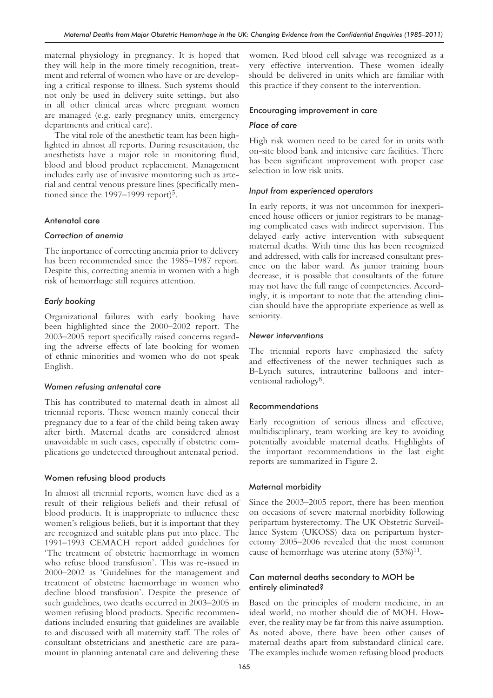maternal physiology in pregnancy. It is hoped that they will help in the more timely recognition, treatment and referral of women who have or are developing a critical response to illness. Such systems should not only be used in delivery suite settings, but also in all other clinical areas where pregnant women are managed (e.g. early pregnancy units, emergency departments and critical care).

The vital role of the anesthetic team has been highlighted in almost all reports. During resuscitation, the anesthetists have a major role in monitoring fluid, blood and blood product replacement. Management includes early use of invasive monitoring such as arterial and central venous pressure lines (specifically mentioned since the 1997–1999 report)<sup>5</sup>.

# Antenatal care

# *Correction of anemia*

The importance of correcting anemia prior to delivery has been recommended since the 1985–1987 report. Despite this, correcting anemia in women with a high risk of hemorrhage still requires attention.

# *Early booking*

Organizational failures with early booking have been highlighted since the 2000–2002 report. The 2003–2005 report specifically raised concerns regarding the adverse effects of late booking for women of ethnic minorities and women who do not speak English.

# *Women refusing antenatal care*

This has contributed to maternal death in almost all triennial reports. These women mainly conceal their pregnancy due to a fear of the child being taken away after birth. Maternal deaths are considered almost unavoidable in such cases, especially if obstetric complications go undetected throughout antenatal period.

# Women refusing blood products

In almost all triennial reports, women have died as a result of their religious beliefs and their refusal of blood products. It is inappropriate to influence these women's religious beliefs, but it is important that they are recognized and suitable plans put into place. The 1991–1993 CEMACH report added guidelines for 'The treatment of obstetric haemorrhage in women who refuse blood transfusion'. This was re-issued in 2000–2002 as 'Guidelines for the management and treatment of obstetric haemorrhage in women who decline blood transfusion'. Despite the presence of such guidelines, two deaths occurred in 2003–2005 in women refusing blood products. Specific recommendations included ensuring that guidelines are available to and discussed with all maternity staff. The roles of consultant obstetricians and anesthetic care are paramount in planning antenatal care and delivering these

women. Red blood cell salvage was recognized as a very effective intervention. These women ideally should be delivered in units which are familiar with this practice if they consent to the intervention.

# Encouraging improvement in care

# *Place of care*

High risk women need to be cared for in units with on-site blood bank and intensive care facilities. There has been significant improvement with proper case selection in low risk units.

# *Input from experienced operators*

In early reports, it was not uncommon for inexperienced house officers or junior registrars to be managing complicated cases with indirect supervision. This delayed early active intervention with subsequent maternal deaths. With time this has been recognized and addressed, with calls for increased consultant presence on the labor ward. As junior training hours decrease, it is possible that consultants of the future may not have the full range of competencies. Accordingly, it is important to note that the attending clinician should have the appropriate experience as well as seniority.

# *Newer interventions*

The triennial reports have emphasized the safety and effectiveness of the newer techniques such as B-Lynch sutures, intrauterine balloons and interventional radiology<sup>8</sup>.

# Recommendations

Early recognition of serious illness and effective, multidisciplinary, team working are key to avoiding potentially avoidable maternal deaths. Highlights of the important recommendations in the last eight reports are summarized in Figure 2.

# Maternal morbidity

Since the 2003–2005 report, there has been mention on occasions of severe maternal morbidity following peripartum hysterectomy. The UK Obstetric Surveillance System (UKOSS) data on peripartum hysterectomy 2005–2006 revealed that the most common cause of hemorrhage was uterine atony  $(53\%)^{11}$ .

# Can maternal deaths secondary to MOH be entirely eliminated?

Based on the principles of modern medicine, in an ideal world, no mother should die of MOH. However, the reality may be far from this naive assumption. As noted above, there have been other causes of maternal deaths apart from substandard clinical care. The examples include women refusing blood products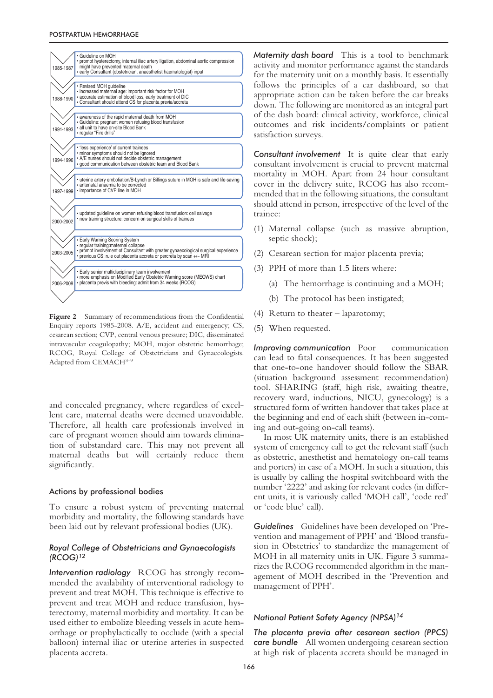| 1985-1987 | · Guideline on MOH<br>• prompt hysterectomy, internal iliac artery ligation, abdominal aortic compression<br>might have prevented maternal death<br>· early Consultant (obstetrician, anaesthetist haematologist) input |
|-----------|-------------------------------------------------------------------------------------------------------------------------------------------------------------------------------------------------------------------------|
|           |                                                                                                                                                                                                                         |
| 1988-1990 | · Revised MOH guideline<br>· increased maternal age: important risk factor for MOH<br>- accurate estimation of blood loss, early treatment of DIC                                                                       |
|           | · Consultant should attend CS for placenta previa/accreta                                                                                                                                                               |
|           |                                                                                                                                                                                                                         |
| 1991-1993 | - awareness of the rapid maternal death from MOH<br>• Guideline: pregnant women refusing blood transfusion<br>• all unit to have on-site Blood Bank<br>• reqular "Fire drills"                                          |
|           |                                                                                                                                                                                                                         |
| 1994-1996 | • 'less experience' of current trainees<br>· minor symptoms should not be ignored<br>• A/E nurses should not decide obstetric management<br>· good communication between obstetric team and Blood Bank                  |
|           |                                                                                                                                                                                                                         |
| 1997-1999 | • uterine artery emboliation/B-Lynch or Billings suture in MOH is safe and life-saving<br>· antenatal anaemia to be corrected<br>• importance of CVP line in MOH                                                        |
|           |                                                                                                                                                                                                                         |
| 2000-2002 | · updated quideline on women refusing blood transfusion: cell salvage<br>• new training structure: concern on surgical skills of trainees                                                                               |
|           |                                                                                                                                                                                                                         |
|           | • Early Warning Scoring System<br>· requilar training: maternal collapse                                                                                                                                                |
| 2003-2005 | · prompt involvement of Consultant with greater gynaecological surgical experience<br>• previous CS: rule out placenta accreta or percreta by scan +/- MRI                                                              |
|           |                                                                                                                                                                                                                         |
| 2006-2008 | • Early senior multidisciplinary team involvement<br>• more emphasis on Modified Early Obstetric Warning score (MEOWS) chart<br>· placenta previs with bleeding: admit from 34 weeks (RCOG)                             |
|           |                                                                                                                                                                                                                         |

**Figure 2** Summary of recommendations from the Confidential Enquiry reports 1985-2008. A/E, accident and emergency; CS, cesarean section; CVP, central venous pressure; DIC, disseminated intravascular coagulopathy; MOH, major obstetric hemorrhage; RCOG, Royal College of Obstetricians and Gynaecologists. Adapted from CEMACH<sup>3-9</sup>

and concealed pregnancy, where regardless of excellent care, maternal deaths were deemed unavoidable. Therefore, all health care professionals involved in care of pregnant women should aim towards elimination of substandard care. This may not prevent all maternal deaths but will certainly reduce them significantly.

## Actions by professional bodies

To ensure a robust system of preventing maternal morbidity and mortality, the following standards have been laid out by relevant professional bodies (UK).

## *Royal College of Obstetricians and Gynaecologists (RCOG)12*

*Intervention radiology* RCOG has strongly recommended the availability of interventional radiology to prevent and treat MOH. This technique is effective to prevent and treat MOH and reduce transfusion, hysterectomy, maternal morbidity and mortality. It can be used either to embolize bleeding vessels in acute hemorrhage or prophylactically to occlude (with a special balloon) internal iliac or uterine arteries in suspected placenta accreta.

*Maternity dash board* This is a tool to benchmark activity and monitor performance against the standards for the maternity unit on a monthly basis. It essentially follows the principles of a car dashboard, so that appropriate action can be taken before the car breaks down. The following are monitored as an integral part of the dash board: clinical activity, workforce, clinical outcomes and risk incidents/complaints or patient satisfaction surveys.

*Consultant involvement* It is quite clear that early consultant involvement is crucial to prevent maternal mortality in MOH. Apart from 24 hour consultant cover in the delivery suite, RCOG has also recommended that in the following situations, the consultant should attend in person, irrespective of the level of the trainee:

- (1) Maternal collapse (such as massive abruption, septic shock);
- (2) Cesarean section for major placenta previa;
- (3) PPH of more than 1.5 liters where:
	- (a) The hemorrhage is continuing and a MOH;
	- (b) The protocol has been instigated;
- (4) Return to theater laparotomy;
- (5) When requested.

*Improving communication* Poor communication can lead to fatal consequences. It has been suggested that one-to-one handover should follow the SBAR (situation background assessment recommendation) tool. SHARING (staff, high risk, awaiting theatre, recovery ward, inductions, NICU, gynecology) is a structured form of written handover that takes place at the beginning and end of each shift (between in-coming and out-going on-call teams).

In most UK maternity units, there is an established system of emergency call to get the relevant staff (such as obstetric, anesthetist and hematology on-call teams and porters) in case of a MOH. In such a situation, this is usually by calling the hospital switchboard with the number '2222' and asking for relevant codes (in different units, it is variously called 'MOH call', 'code red' or 'code blue' call).

*Guidelines* Guidelines have been developed on 'Prevention and management of PPH' and 'Blood transfusion in Obstetrics' to standardize the management of MOH in all maternity units in UK. Figure 3 summarizes the RCOG recommended algorithm in the management of MOH described in the 'Prevention and management of PPH'.

# *National Patient Safety Agency (NPSA)14*

*The placenta previa after cesarean section (PPCS) care bundle* All women undergoing cesarean section at high risk of placenta accreta should be managed in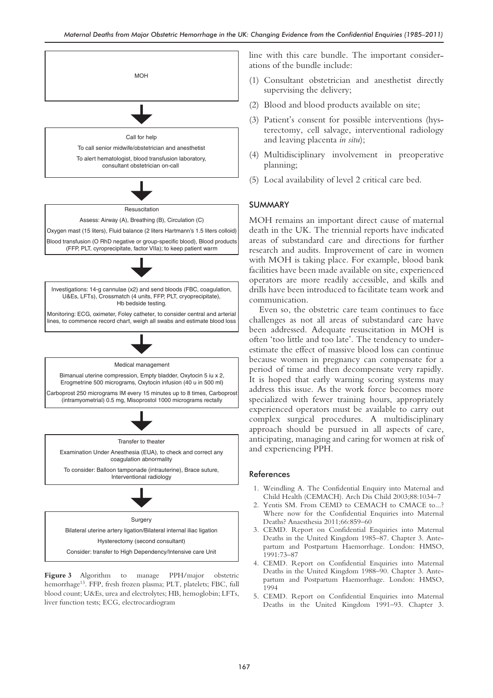

**Figure 3** Algorithm to manage PPH/major obstetric hemorrhage13. FFP, fresh frozen plasma; PLT, platelets; FBC, full blood count; U&Es, urea and electrolytes; HB, hemoglobin; LFTs, liver function tests; ECG, electrocardiogram

line with this care bundle. The important considerations of the bundle include:

- (1) Consultant obstetrician and anesthetist directly supervising the delivery;
- (2) Blood and blood products available on site;
- (3) Patient's consent for possible interventions (hysterectomy, cell salvage, interventional radiology and leaving placenta *in situ*);
- (4) Multidisciplinary involvement in preoperative planning;
- (5) Local availability of level 2 critical care bed.

# SUMMARY

MOH remains an important direct cause of maternal death in the UK. The triennial reports have indicated areas of substandard care and directions for further research and audits. Improvement of care in women with MOH is taking place. For example, blood bank facilities have been made available on site, experienced operators are more readily accessible, and skills and drills have been introduced to facilitate team work and communication.

Even so, the obstetric care team continues to face challenges as not all areas of substandard care have been addressed. Adequate resuscitation in MOH is often 'too little and too late'. The tendency to underestimate the effect of massive blood loss can continue because women in pregnancy can compensate for a period of time and then decompensate very rapidly. It is hoped that early warning scoring systems may address this issue. As the work force becomes more specialized with fewer training hours, appropriately experienced operators must be available to carry out complex surgical procedures. A multidisciplinary approach should be pursued in all aspects of care, anticipating, managing and caring for women at risk of and experiencing PPH.

## References

- 1. Weindling A. The Confidential Enquiry into Maternal and Child Health (CEMACH). Arch Dis Child 2003;88:1034–7
- 2. Yentis SM. From CEMD to CEMACH to CMACE to...? Where now for the Confidential Enquiries into Maternal Deaths? Anaesthesia 2011;66:859–60
- 3. CEMD. Report on Confidential Enquiries into Maternal Deaths in the United Kingdom 1985–87. Chapter 3. Antepartum and Postpartum Haemorrhage. London: HMSO, 1991:73–87
- 4. CEMD. Report on Confidential Enquiries into Maternal Deaths in the United Kingdom 1988–90. Chapter 3. Antepartum and Postpartum Haemorrhage. London: HMSO, 1994
- 5. CEMD. Report on Confidential Enquiries into Maternal Deaths in the United Kingdom 1991–93. Chapter 3.